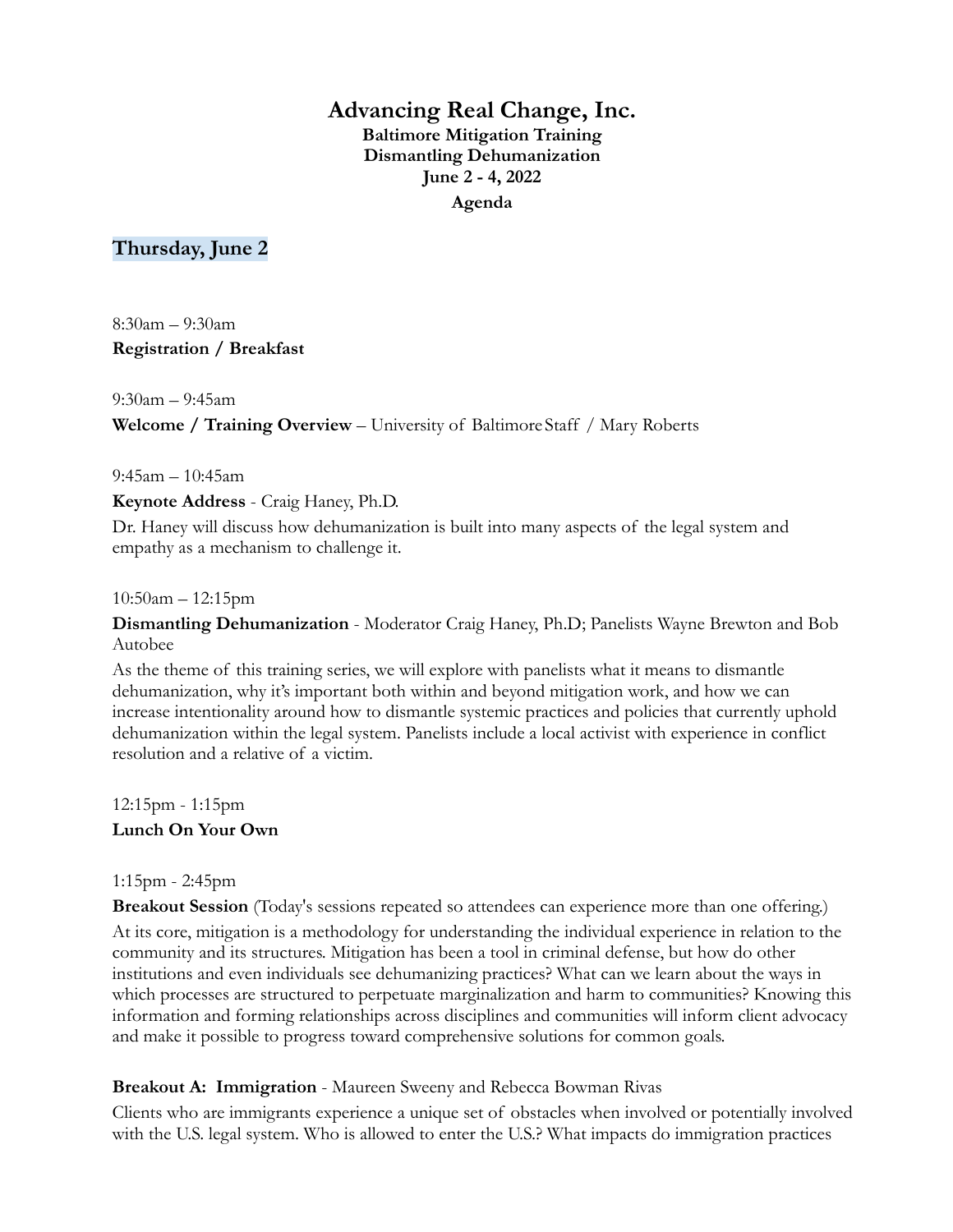# **Advancing Real Change, Inc. Baltimore Mitigation Training Dismantling Dehumanization June 2 - 4, 2022 Agenda**

# **Thursday, June 2**

8:30am – 9:30am **Registration / Breakfast**

9:30am – 9:45am **Welcome / Training Overview** – University of Baltimore Staff / Mary Roberts

9:45am – 10:45am

**Keynote Address** - Craig Haney, Ph.D.

Dr. Haney will discuss how dehumanization is built into many aspects of the legal system and empathy as a mechanism to challenge it.

10:50am – 12:15pm

**Dismantling Dehumanization** - Moderator Craig Haney, Ph.D; Panelists Wayne Brewton and Bob Autobee

As the theme of this training series, we will explore with panelists what it means to dismantle dehumanization, why it's important both within and beyond mitigation work, and how we can increase intentionality around how to dismantle systemic practices and policies that currently uphold dehumanization within the legal system. Panelists include a local activist with experience in conflict resolution and a relative of a victim.

12:15pm - 1:15pm **Lunch On Your Own**

## 1:15pm - 2:45pm

**Breakout Session** (Today's sessions repeated so attendees can experience more than one offering.) At its core, mitigation is a methodology for understanding the individual experience in relation to the community and its structures. Mitigation has been a tool in criminal defense, but how do other institutions and even individuals see dehumanizing practices? What can we learn about the ways in which processes are structured to perpetuate marginalization and harm to communities? Knowing this information and forming relationships across disciplines and communities will inform client advocacy and make it possible to progress toward comprehensive solutions for common goals.

## **Breakout A: Immigration** - Maureen Sweeny and Rebecca Bowman Rivas

Clients who are immigrants experience a unique set of obstacles when involved or potentially involved with the U.S. legal system. Who is allowed to enter the U.S.? What impacts do immigration practices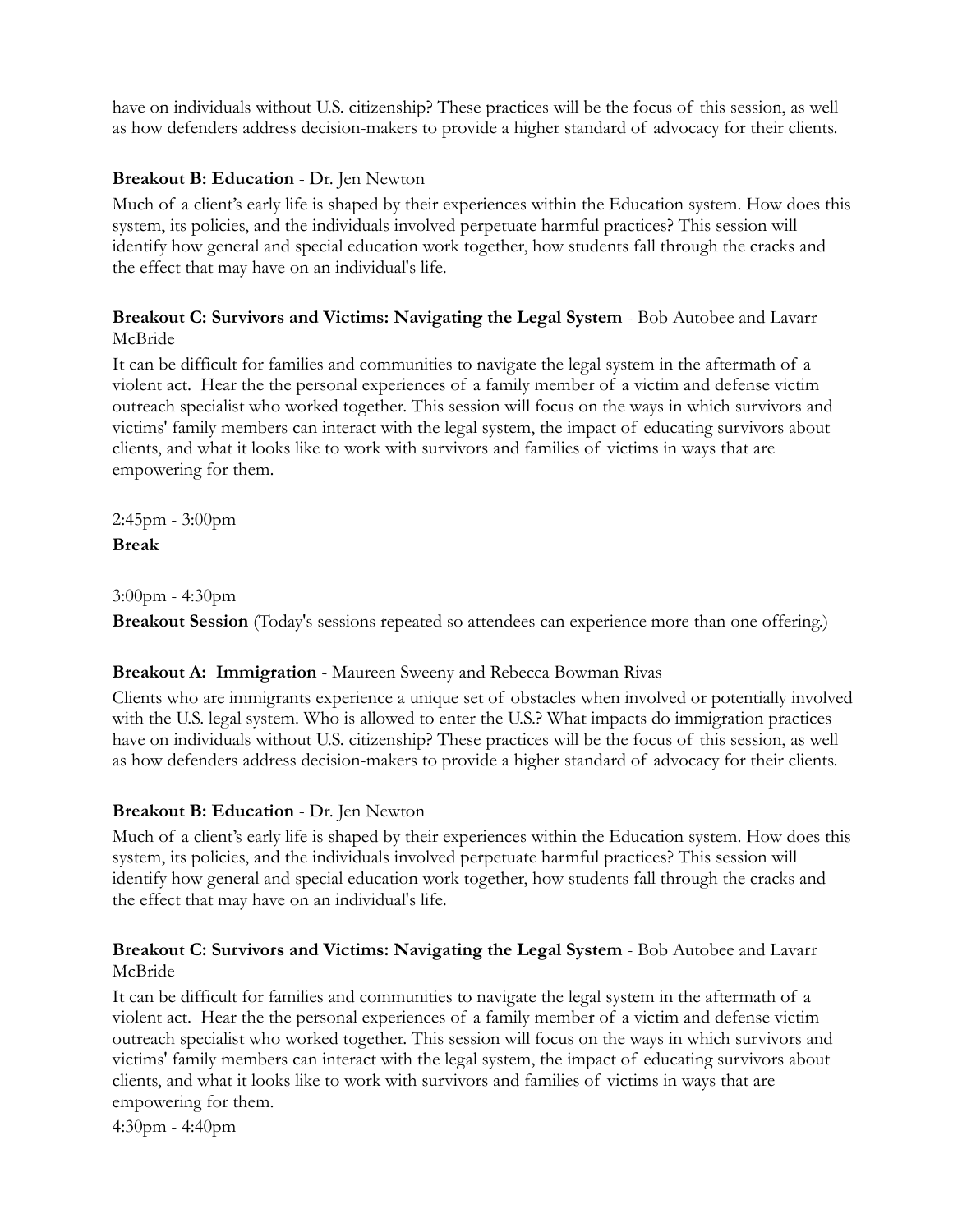have on individuals without U.S. citizenship? These practices will be the focus of this session, as well as how defenders address decision-makers to provide a higher standard of advocacy for their clients.

## **Breakout B: Education** - Dr. Jen Newton

Much of a client's early life is shaped by their experiences within the Education system. How does this system, its policies, and the individuals involved perpetuate harmful practices? This session will identify how general and special education work together, how students fall through the cracks and the effect that may have on an individual's life.

### **Breakout C: Survivors and Victims: Navigating the Legal System** - Bob Autobee and Lavarr McBride

It can be difficult for families and communities to navigate the legal system in the aftermath of a violent act. Hear the the personal experiences of a family member of a victim and defense victim outreach specialist who worked together. This session will focus on the ways in which survivors and victims' family members can interact with the legal system, the impact of educating survivors about clients, and what it looks like to work with survivors and families of victims in ways that are empowering for them.

2:45pm - 3:00pm **Break**

3:00pm - 4:30pm

**Breakout Session** (Today's sessions repeated so attendees can experience more than one offering.)

## **Breakout A: Immigration** - Maureen Sweeny and Rebecca Bowman Rivas

Clients who are immigrants experience a unique set of obstacles when involved or potentially involved with the U.S. legal system. Who is allowed to enter the U.S.? What impacts do immigration practices have on individuals without U.S. citizenship? These practices will be the focus of this session, as well as how defenders address decision-makers to provide a higher standard of advocacy for their clients.

## **Breakout B: Education** - Dr. Jen Newton

Much of a client's early life is shaped by their experiences within the Education system. How does this system, its policies, and the individuals involved perpetuate harmful practices? This session will identify how general and special education work together, how students fall through the cracks and the effect that may have on an individual's life.

## **Breakout C: Survivors and Victims: Navigating the Legal System** - Bob Autobee and Lavarr McBride

It can be difficult for families and communities to navigate the legal system in the aftermath of a violent act. Hear the the personal experiences of a family member of a victim and defense victim outreach specialist who worked together. This session will focus on the ways in which survivors and victims' family members can interact with the legal system, the impact of educating survivors about clients, and what it looks like to work with survivors and families of victims in ways that are empowering for them.

4:30pm - 4:40pm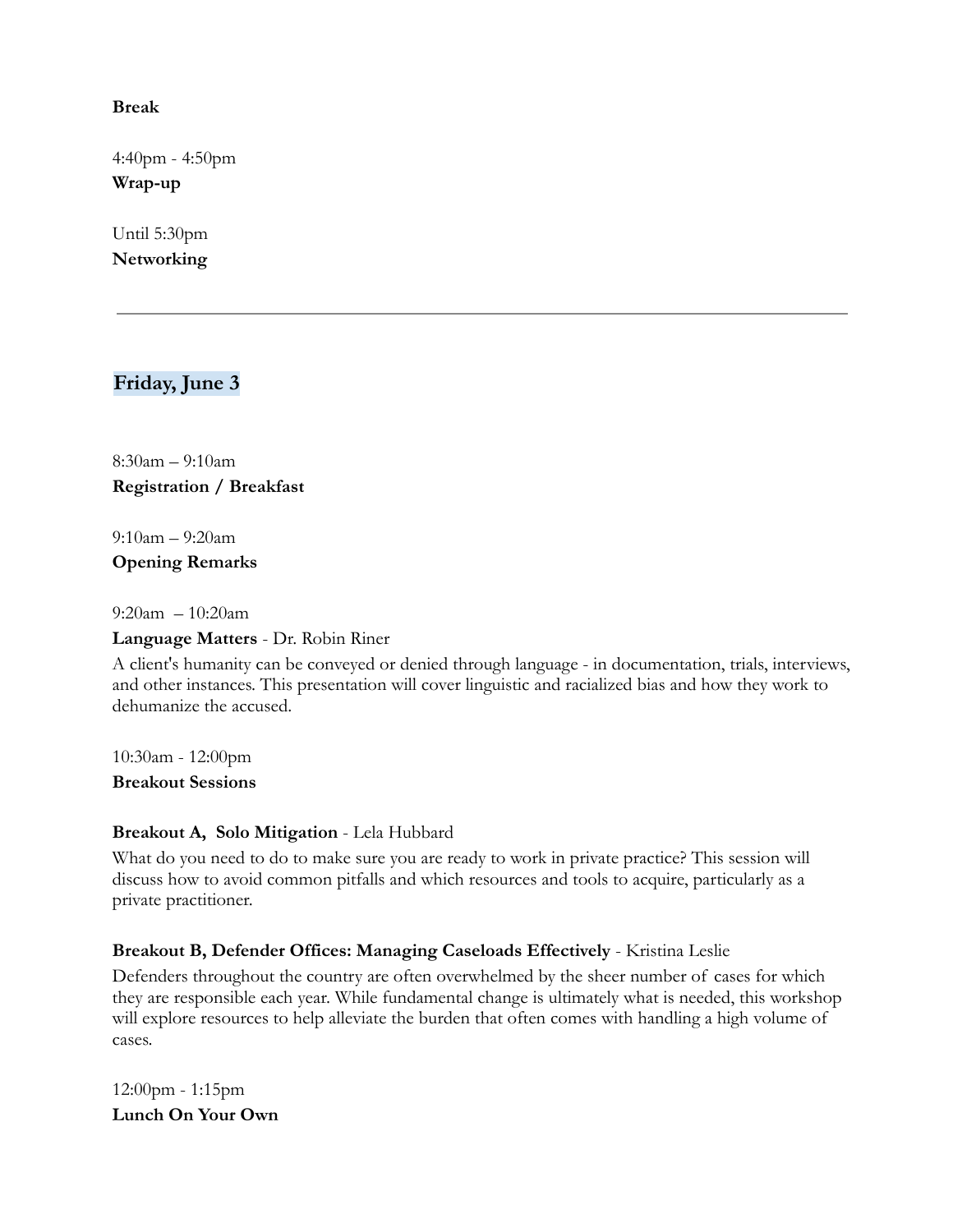#### **Break**

4:40pm - 4:50pm **Wrap-up**

Until 5:30pm **Networking**

# **Friday, June 3**

8:30am – 9:10am **Registration / Breakfast**

9:10am – 9:20am **Opening Remarks**

9:20am – 10:20am

#### **Language Matters** - Dr. Robin Riner

A client's humanity can be conveyed or denied through language - in documentation, trials, interviews, and other instances. This presentation will cover linguistic and racialized bias and how they work to dehumanize the accused.

10:30am - 12:00pm **Breakout Sessions**

#### **Breakout A, Solo Mitigation** - Lela Hubbard

What do you need to do to make sure you are ready to work in private practice? This session will discuss how to avoid common pitfalls and which resources and tools to acquire, particularly as a private practitioner.

## **Breakout B, Defender Offices: Managing Caseloads Effectively** - Kristina Leslie

Defenders throughout the country are often overwhelmed by the sheer number of cases for which they are responsible each year. While fundamental change is ultimately what is needed, this workshop will explore resources to help alleviate the burden that often comes with handling a high volume of cases.

12:00pm - 1:15pm **Lunch On Your Own**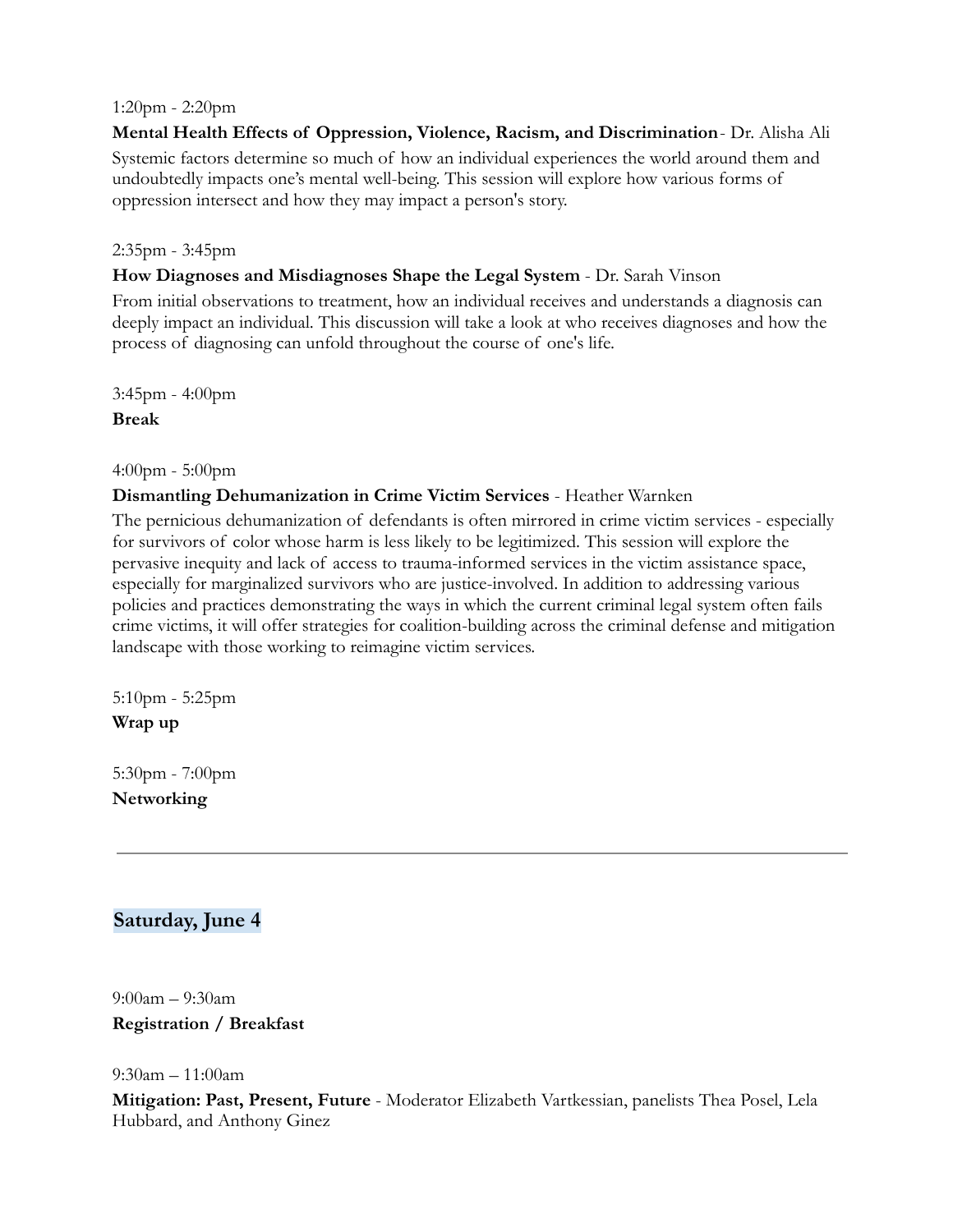#### 1:20pm - 2:20pm

**Mental Health Effects of Oppression, Violence, Racism, and Discrimination**- Dr. Alisha Ali Systemic factors determine so much of how an individual experiences the world around them and undoubtedly impacts one's mental well-being. This session will explore how various forms of oppression intersect and how they may impact a person's story.

#### 2:35pm - 3:45pm

#### **How Diagnoses and Misdiagnoses Shape the Legal System** - Dr. Sarah Vinson

From initial observations to treatment, how an individual receives and understands a diagnosis can deeply impact an individual. This discussion will take a look at who receives diagnoses and how the process of diagnosing can unfold throughout the course of one's life.

3:45pm - 4:00pm **Break**

4:00pm - 5:00pm

#### **Dismantling Dehumanization in Crime Victim Services** - Heather Warnken

The pernicious dehumanization of defendants is often mirrored in crime victim services - especially for survivors of color whose harm is less likely to be legitimized. This session will explore the pervasive inequity and lack of access to trauma-informed services in the victim assistance space, especially for marginalized survivors who are justice-involved. In addition to addressing various policies and practices demonstrating the ways in which the current criminal legal system often fails crime victims, it will offer strategies for coalition-building across the criminal defense and mitigation landscape with those working to reimagine victim services.

5:10pm - 5:25pm **Wrap up**

5:30pm - 7:00pm **Networking**

## **Saturday, June 4**

9:00am – 9:30am **Registration / Breakfast**

9:30am – 11:00am

**Mitigation: Past, Present, Future** - Moderator Elizabeth Vartkessian, panelists Thea Posel, Lela Hubbard, and Anthony Ginez